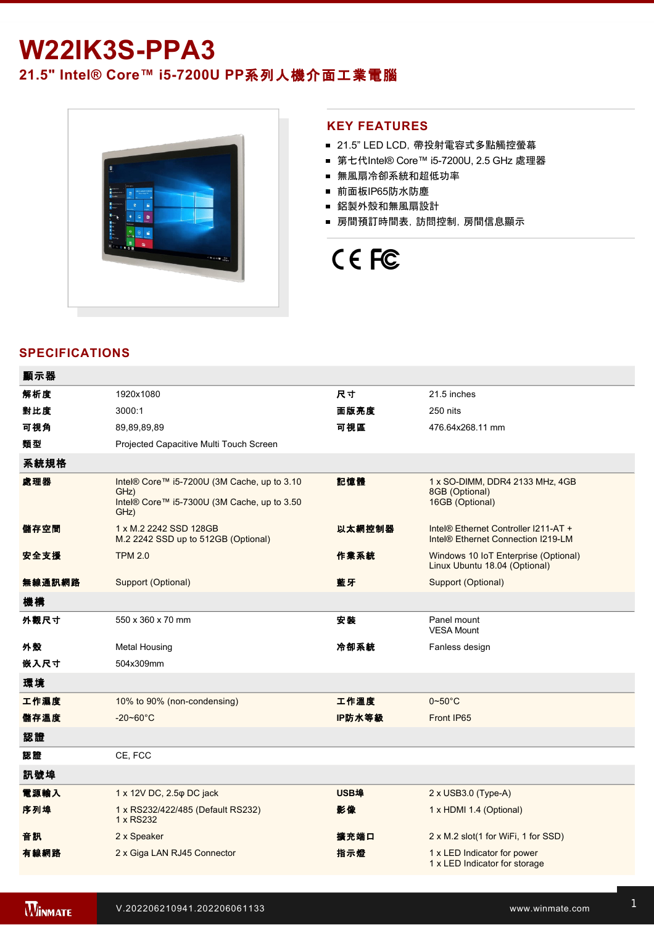# **W22IK3S-PPA3**

**21.5" Intel® Core™ i57200U PP**系列人機介面工業電腦



#### **KEY FEATURES**

- 21.5" LED LCD, 帶投射電容式多點觸控螢幕
- 第七代Intel® Core™ i5-7200U, 2.5 GHz 處理器
- 無風扇冷卻系統和超低功率
- 前面板IP65防水防塵
- 鋁製外殼和無風扇設計
- 房間預訂時間表,訪問控制,房間信息顯示

# CE FC

# **SPECIFICATIONS**

| 顯示器    |                                                                                                            |        |                                                                                        |
|--------|------------------------------------------------------------------------------------------------------------|--------|----------------------------------------------------------------------------------------|
| 解析度    | 1920x1080                                                                                                  | 尺寸     | 21.5 inches                                                                            |
| 對比度    | 3000:1                                                                                                     | 面版亮度   | 250 nits                                                                               |
| 可視角    | 89,89,89,89                                                                                                | 可視區    | 476.64x268.11 mm                                                                       |
| 類型     | Projected Capacitive Multi Touch Screen                                                                    |        |                                                                                        |
| 系統規格   |                                                                                                            |        |                                                                                        |
| 處理器    | Intel® Core™ i5-7200U (3M Cache, up to 3.10<br>GHz)<br>Intel® Core™ i5-7300U (3M Cache, up to 3.50<br>GHz) | 記憶體    | 1 x SO-DIMM, DDR4 2133 MHz, 4GB<br>8GB (Optional)<br>16GB (Optional)                   |
| 儲存空間   | 1 x M.2 2242 SSD 128GB<br>M.2 2242 SSD up to 512GB (Optional)                                              | 以太網控制器 | Intel® Ethernet Controller I211-AT +<br>Intel <sup>®</sup> Ethernet Connection I219-LM |
| 安全支援   | <b>TPM 2.0</b>                                                                                             | 作業系統   | Windows 10 IoT Enterprise (Optional)<br>Linux Ubuntu 18.04 (Optional)                  |
| 無線通訊網路 | Support (Optional)                                                                                         | 藍牙     | Support (Optional)                                                                     |
| 機構     |                                                                                                            |        |                                                                                        |
| 外觀尺寸   | 550 x 360 x 70 mm                                                                                          | 安装     | Panel mount<br><b>VESA Mount</b>                                                       |
| 外殼     | <b>Metal Housing</b>                                                                                       | 冷卻系統   | Fanless design                                                                         |
| 嵌入尺寸   | 504x309mm                                                                                                  |        |                                                                                        |
| 環境     |                                                                                                            |        |                                                                                        |
| 工作濕度   | 10% to 90% (non-condensing)                                                                                | 工作溫度   | $0\neg 50^\circ C$                                                                     |
| 儲存溫度   | $-20 - 60^{\circ}$ C                                                                                       | IP防水等級 | Front IP65                                                                             |
| 認證     |                                                                                                            |        |                                                                                        |
| 認證     | CE, FCC                                                                                                    |        |                                                                                        |
| 訊號埠    |                                                                                                            |        |                                                                                        |
| 電源輸入   | 1 x 12V DC, 2.5 $\varphi$ DC jack                                                                          | USB埠   | $2 \times$ USB3.0 (Type-A)                                                             |
| 序列埠    | 1 x RS232/422/485 (Default RS232)<br>1 x RS232                                                             | 影像     | 1 x HDMI 1.4 (Optional)                                                                |
| 音訊     | 2 x Speaker                                                                                                | 擴充端口   | 2 x M.2 slot(1 for WiFi, 1 for SSD)                                                    |
| 有線網路   | 2 x Giga LAN RJ45 Connector                                                                                | 指示燈    | 1 x LED Indicator for power<br>1 x LED Indicator for storage                           |